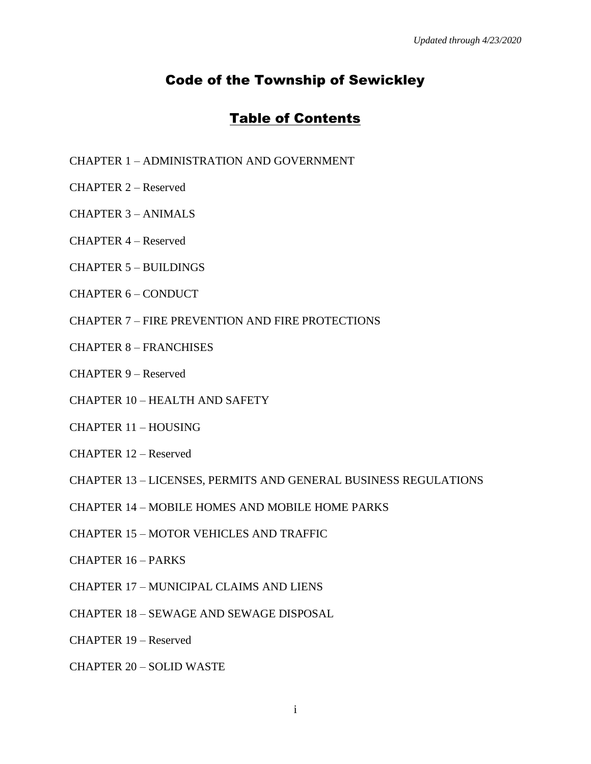# Code of the Township of Sewickley

## Table of Contents

- CHAPTER 1 ADMINISTRATION AND GOVERNMENT
- CHAPTER 2 Reserved
- CHAPTER 3 ANIMALS
- CHAPTER 4 Reserved
- CHAPTER 5 BUILDINGS
- CHAPTER 6 CONDUCT
- CHAPTER 7 FIRE PREVENTION AND FIRE PROTECTIONS
- CHAPTER 8 FRANCHISES
- CHAPTER 9 Reserved
- CHAPTER 10 HEALTH AND SAFETY
- CHAPTER 11 HOUSING
- CHAPTER 12 Reserved
- CHAPTER 13 LICENSES, PERMITS AND GENERAL BUSINESS REGULATIONS
- CHAPTER 14 MOBILE HOMES AND MOBILE HOME PARKS
- CHAPTER 15 MOTOR VEHICLES AND TRAFFIC
- CHAPTER 16 PARKS
- CHAPTER 17 MUNICIPAL CLAIMS AND LIENS
- CHAPTER 18 SEWAGE AND SEWAGE DISPOSAL
- CHAPTER 19 Reserved
- CHAPTER 20 SOLID WASTE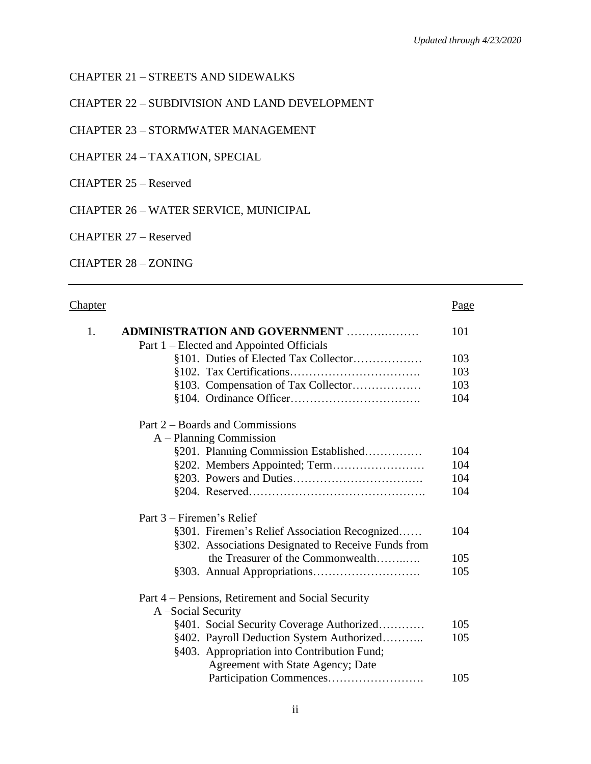### CHAPTER 21 – STREETS AND SIDEWALKS

CHAPTER 22 – SUBDIVISION AND LAND DEVELOPMENT

CHAPTER 23 – STORMWATER MANAGEMENT

CHAPTER 24 – TAXATION, SPECIAL

CHAPTER 25 – Reserved

CHAPTER 26 – WATER SERVICE, MUNICIPAL

CHAPTER 27 – Reserved

CHAPTER 28 – ZONING

### Chapter **Page**

| 1. |                           | <b>ADMINISTRATION AND GOVERNMENT </b>               | 101 |
|----|---------------------------|-----------------------------------------------------|-----|
|    |                           | Part 1 – Elected and Appointed Officials            |     |
|    |                           | §101. Duties of Elected Tax Collector               | 103 |
|    |                           |                                                     | 103 |
|    |                           | §103. Compensation of Tax Collector                 | 103 |
|    |                           |                                                     | 104 |
|    |                           | Part 2 – Boards and Commissions                     |     |
|    |                           | $A$ – Planning Commission                           |     |
|    |                           | §201. Planning Commission Established               | 104 |
|    |                           |                                                     | 104 |
|    |                           |                                                     | 104 |
|    |                           |                                                     | 104 |
|    | Part 3 – Firemen's Relief |                                                     |     |
|    |                           | §301. Firemen's Relief Association Recognized       | 104 |
|    |                           | §302. Associations Designated to Receive Funds from |     |
|    |                           | the Treasurer of the Commonwealth                   | 105 |
|    |                           |                                                     | 105 |
|    |                           | Part 4 – Pensions, Retirement and Social Security   |     |
|    | A -Social Security        |                                                     |     |
|    |                           | §401. Social Security Coverage Authorized           | 105 |
|    |                           | §402. Payroll Deduction System Authorized           | 105 |
|    |                           | §403. Appropriation into Contribution Fund;         |     |
|    |                           | Agreement with State Agency; Date                   |     |
|    |                           |                                                     | 105 |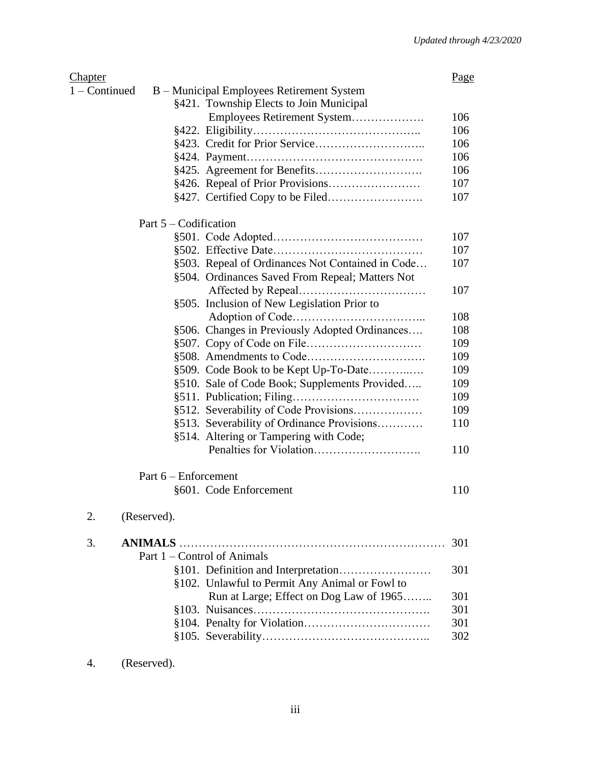| <b>Chapter</b>  |                         |                                                  | <u>Page</u> |
|-----------------|-------------------------|--------------------------------------------------|-------------|
| $1 -$ Continued |                         | B – Municipal Employees Retirement System        |             |
|                 |                         | §421. Township Elects to Join Municipal          |             |
|                 |                         | Employees Retirement System                      | 106         |
|                 |                         |                                                  | 106         |
|                 |                         |                                                  | 106         |
|                 |                         |                                                  | 106         |
|                 |                         |                                                  | 106         |
|                 |                         |                                                  | 107         |
|                 |                         |                                                  | 107         |
|                 | Part $5 -$ Codification |                                                  |             |
|                 |                         |                                                  | 107         |
|                 |                         |                                                  | 107         |
|                 |                         | §503. Repeal of Ordinances Not Contained in Code | 107         |
|                 |                         | §504. Ordinances Saved From Repeal; Matters Not  |             |
|                 |                         |                                                  | 107         |
|                 |                         | §505. Inclusion of New Legislation Prior to      |             |
|                 |                         |                                                  | 108         |
|                 |                         | §506. Changes in Previously Adopted Ordinances   | 108         |
|                 |                         |                                                  | 109         |
|                 |                         |                                                  | 109         |
|                 |                         | §509. Code Book to be Kept Up-To-Date            | 109         |
|                 |                         | §510. Sale of Code Book; Supplements Provided    | 109         |
|                 |                         |                                                  | 109         |
|                 |                         | §512. Severability of Code Provisions            | 109         |
|                 |                         | §513. Severability of Ordinance Provisions       | 110         |
|                 |                         | §514. Altering or Tampering with Code;           |             |
|                 |                         |                                                  | 110         |
|                 | Part $6$ – Enforcement  |                                                  |             |
|                 |                         | §601. Code Enforcement                           | 110         |
| 2.              | (Reserved).             |                                                  |             |
| 3.              |                         |                                                  | 301         |
|                 |                         | Part 1 – Control of Animals                      |             |
|                 |                         |                                                  | 301         |
|                 |                         | §102. Unlawful to Permit Any Animal or Fowl to   |             |
|                 |                         | Run at Large; Effect on Dog Law of 1965          | 301         |
|                 |                         |                                                  | 301         |
|                 |                         |                                                  | 301         |
|                 |                         |                                                  | 302         |
|                 |                         |                                                  |             |

<sup>4.</sup> (Reserved).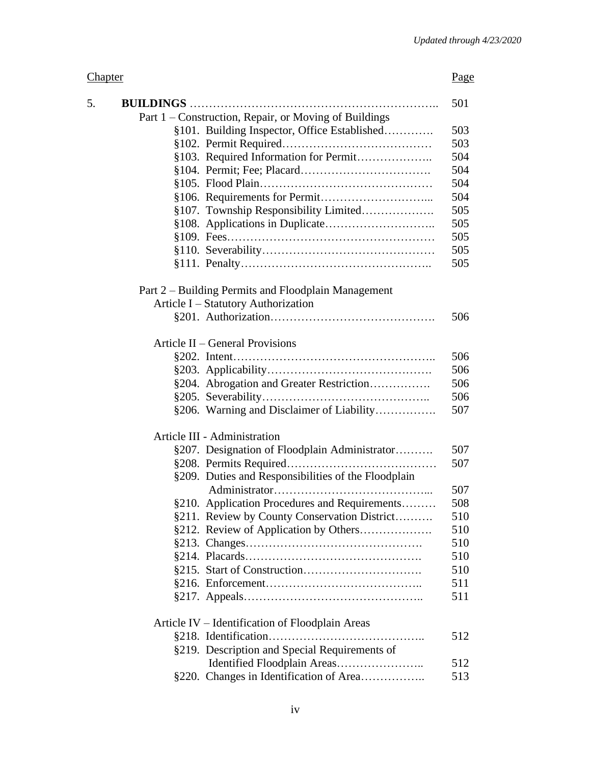# Chapter Page

| 5. |                                                       | 501 |
|----|-------------------------------------------------------|-----|
|    | Part 1 – Construction, Repair, or Moving of Buildings |     |
|    | §101. Building Inspector, Office Established          | 503 |
|    |                                                       | 503 |
|    | §103. Required Information for Permit                 | 504 |
|    |                                                       | 504 |
|    |                                                       | 504 |
|    |                                                       | 504 |
|    | §107. Township Responsibility Limited                 | 505 |
|    |                                                       | 505 |
|    |                                                       | 505 |
|    |                                                       | 505 |
|    |                                                       | 505 |
|    | Part 2 - Building Permits and Floodplain Management   |     |
|    | Article I - Statutory Authorization                   |     |
|    |                                                       | 506 |
|    |                                                       |     |
|    | Article II – General Provisions                       |     |
|    |                                                       | 506 |
|    |                                                       | 506 |
|    | §204. Abrogation and Greater Restriction              | 506 |
|    |                                                       | 506 |
|    | §206. Warning and Disclaimer of Liability             | 507 |
|    | Article III - Administration                          |     |
|    | §207. Designation of Floodplain Administrator         | 507 |
|    |                                                       | 507 |
|    | §209. Duties and Responsibilities of the Floodplain   |     |
|    |                                                       | 507 |
|    | §210. Application Procedures and Requirements         | 508 |
|    | §211. Review by County Conservation District          | 510 |
|    | §212. Review of Application by Others                 | 510 |
|    |                                                       | 510 |
|    |                                                       | 510 |
|    |                                                       | 510 |
|    |                                                       | 511 |
|    |                                                       | 511 |
|    | Article IV – Identification of Floodplain Areas       |     |
|    |                                                       | 512 |
|    | §219. Description and Special Requirements of         |     |
|    | Identified Floodplain Areas                           | 512 |
|    | §220. Changes in Identification of Area               | 513 |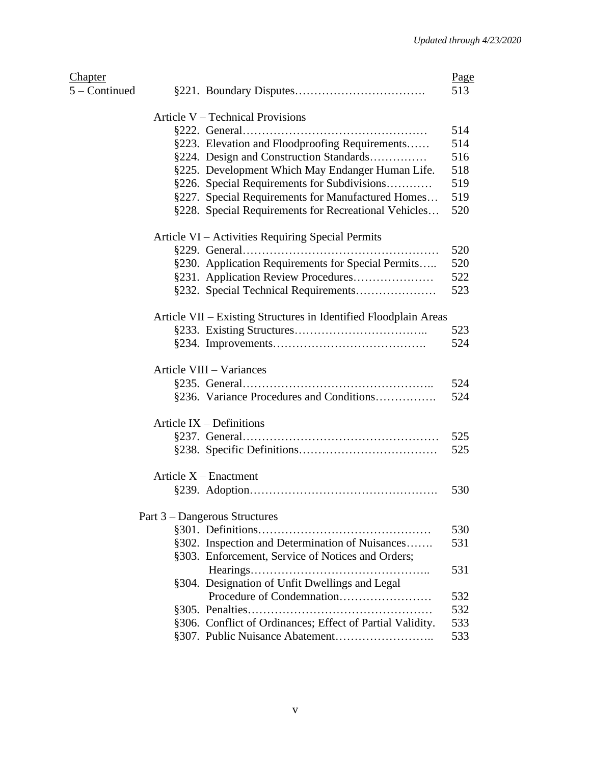| Chapter       |                                                                  | Page |
|---------------|------------------------------------------------------------------|------|
| 5 – Continued |                                                                  | 513  |
|               | Article V – Technical Provisions                                 |      |
|               |                                                                  | 514  |
|               | §223. Elevation and Floodproofing Requirements                   | 514  |
|               | §224. Design and Construction Standards                          | 516  |
|               | §225. Development Which May Endanger Human Life.                 | 518  |
|               | §226. Special Requirements for Subdivisions                      | 519  |
|               | §227. Special Requirements for Manufactured Homes                | 519  |
|               | §228. Special Requirements for Recreational Vehicles             | 520  |
|               | Article VI – Activities Requiring Special Permits                |      |
|               |                                                                  | 520  |
|               | §230. Application Requirements for Special Permits               | 520  |
|               |                                                                  | 522  |
|               |                                                                  | 523  |
|               | Article VII – Existing Structures in Identified Floodplain Areas |      |
|               |                                                                  | 523  |
|               |                                                                  | 524  |
|               | Article VIII - Variances                                         |      |
|               |                                                                  | 524  |
|               | §236. Variance Procedures and Conditions                         | 524  |
|               | Article $IX -$ Definitions                                       |      |
|               |                                                                  | 525  |
|               |                                                                  | 525  |
|               | Article $X$ – Enactment                                          |      |
|               |                                                                  | 530  |
|               | Part 3 – Dangerous Structures                                    |      |
|               |                                                                  | 530  |
|               | §302. Inspection and Determination of Nuisances                  | 531  |
|               | §303. Enforcement, Service of Notices and Orders;                |      |
|               |                                                                  | 531  |
|               | §304. Designation of Unfit Dwellings and Legal                   |      |
|               |                                                                  | 532  |
|               |                                                                  | 532  |
|               | §306. Conflict of Ordinances; Effect of Partial Validity.        | 533  |
|               |                                                                  | 533  |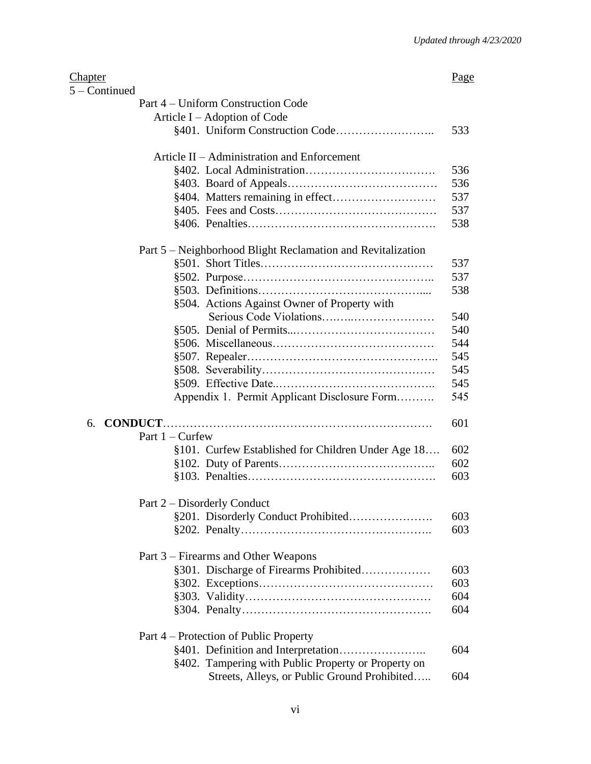| <u>Chapter</u> |                                                             | Page |
|----------------|-------------------------------------------------------------|------|
| 5 - Continued  |                                                             |      |
|                | Part 4 – Uniform Construction Code                          |      |
|                | Article I – Adoption of Code                                |      |
|                |                                                             | 533  |
|                | Article II – Administration and Enforcement                 |      |
|                |                                                             | 536  |
|                |                                                             | 536  |
|                |                                                             | 537  |
|                |                                                             | 537  |
|                |                                                             | 538  |
|                | Part 5 – Neighborhood Blight Reclamation and Revitalization |      |
|                |                                                             | 537  |
|                |                                                             | 537  |
|                |                                                             | 538  |
|                | §504. Actions Against Owner of Property with                |      |
|                |                                                             | 540  |
|                |                                                             | 540  |
|                |                                                             | 544  |
|                |                                                             | 545  |
|                |                                                             | 545  |
|                |                                                             | 545  |
|                | Appendix 1. Permit Applicant Disclosure Form                | 545  |
| 6.             |                                                             | 601  |
|                | Part $1 -$ Curfew                                           |      |
|                | §101. Curfew Established for Children Under Age 18          | 602  |
|                |                                                             | 602  |
|                |                                                             | 603  |
|                |                                                             |      |
|                | Part 2 – Disorderly Conduct                                 |      |
|                |                                                             | 603  |
|                |                                                             | 603  |
|                | Part 3 – Firearms and Other Weapons                         |      |
|                | §301. Discharge of Firearms Prohibited                      | 603  |
|                |                                                             | 603  |
|                |                                                             | 604  |
|                |                                                             | 604  |
|                | Part 4 – Protection of Public Property                      |      |
|                |                                                             | 604  |
|                | §402. Tampering with Public Property or Property on         |      |
|                | Streets, Alleys, or Public Ground Prohibited                | 604  |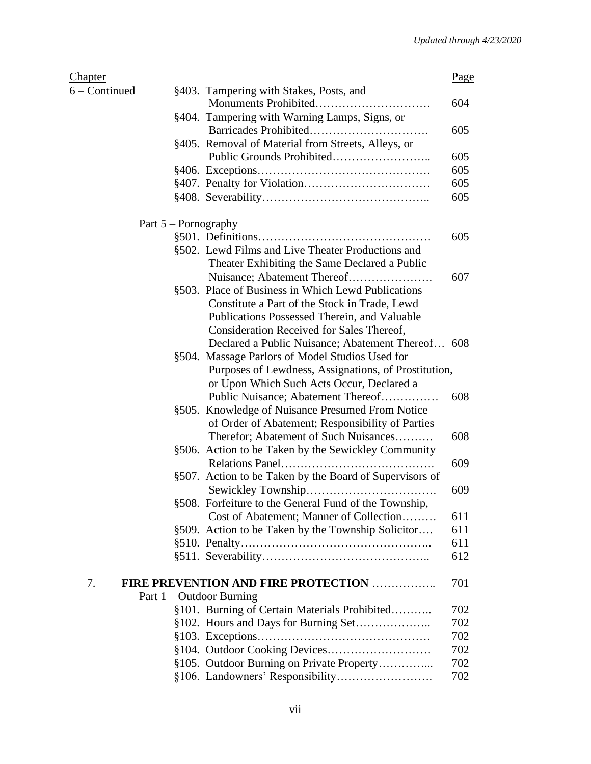| <u>Chapter</u> |                                                         | Page |
|----------------|---------------------------------------------------------|------|
| 6 – Continued  | §403. Tampering with Stakes, Posts, and                 |      |
|                |                                                         | 604  |
|                | §404. Tampering with Warning Lamps, Signs, or           |      |
|                |                                                         | 605  |
|                | §405. Removal of Material from Streets, Alleys, or      |      |
|                |                                                         | 605  |
|                |                                                         | 605  |
|                |                                                         | 605  |
|                |                                                         | 605  |
|                | Part $5$ – Pornography                                  |      |
|                |                                                         | 605  |
|                | §502. Lewd Films and Live Theater Productions and       |      |
|                | Theater Exhibiting the Same Declared a Public           |      |
|                | Nuisance; Abatement Thereof                             | 607  |
|                | §503. Place of Business in Which Lewd Publications      |      |
|                | Constitute a Part of the Stock in Trade, Lewd           |      |
|                | Publications Possessed Therein, and Valuable            |      |
|                | Consideration Received for Sales Thereof,               |      |
|                | Declared a Public Nuisance; Abatement Thereof 608       |      |
|                | §504. Massage Parlors of Model Studios Used for         |      |
|                | Purposes of Lewdness, Assignations, of Prostitution,    |      |
|                | or Upon Which Such Acts Occur, Declared a               |      |
|                | Public Nuisance; Abatement Thereof                      | 608  |
|                | §505. Knowledge of Nuisance Presumed From Notice        |      |
|                | of Order of Abatement; Responsibility of Parties        |      |
|                | Therefor; Abatement of Such Nuisances                   | 608  |
|                | §506. Action to be Taken by the Sewickley Community     |      |
|                |                                                         | 609  |
|                | §507. Action to be Taken by the Board of Supervisors of |      |
|                |                                                         | 609  |
|                | §508. Forfeiture to the General Fund of the Township.   |      |
|                | Cost of Abatement; Manner of Collection                 | 611  |
|                | §509. Action to be Taken by the Township Solicitor      | 611  |
|                |                                                         | 611  |
|                |                                                         | 612  |
| 7.             | <b>FIRE PREVENTION AND FIRE PROTECTION </b>             | 701  |
|                | Part $1$ – Outdoor Burning                              |      |
|                | §101. Burning of Certain Materials Prohibited           | 702  |
|                |                                                         | 702  |
|                |                                                         | 702  |
|                |                                                         | 702  |
|                | §105. Outdoor Burning on Private Property               | 702  |
|                |                                                         | 702  |
|                |                                                         |      |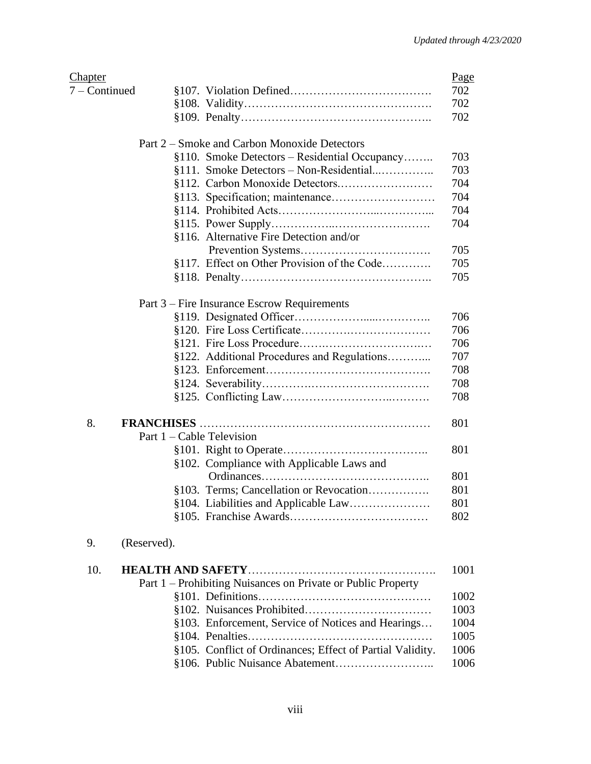| <u>Chapter</u> |                                                              |
|----------------|--------------------------------------------------------------|
| 7 - Continued  |                                                              |
|                |                                                              |
|                |                                                              |
|                | Part 2 – Smoke and Carbon Monoxide Detectors                 |
|                | §110. Smoke Detectors – Residential Occupancy                |
|                | §111. Smoke Detectors - Non-Residential                      |
|                |                                                              |
|                |                                                              |
|                |                                                              |
|                |                                                              |
|                | §116. Alternative Fire Detection and/or                      |
|                |                                                              |
|                | §117. Effect on Other Provision of the Code                  |
|                |                                                              |
|                | Part 3 – Fire Insurance Escrow Requirements                  |
|                |                                                              |
|                |                                                              |
|                |                                                              |
|                | §122. Additional Procedures and Regulations                  |
|                |                                                              |
|                |                                                              |
|                |                                                              |
| 8.             |                                                              |
|                | Part $1 -$ Cable Television                                  |
|                |                                                              |
|                | §102. Compliance with Applicable Laws and                    |
|                |                                                              |
|                | §103. Terms; Cancellation or Revocation                      |
|                | §104. Liabilities and Applicable Law                         |
|                |                                                              |
| 9.             | (Reserved).                                                  |
| 10.            |                                                              |
|                | Part 1 – Prohibiting Nuisances on Private or Public Property |
|                |                                                              |
|                |                                                              |
|                | §103. Enforcement, Service of Notices and Hearings           |
|                |                                                              |
|                | §105. Conflict of Ordinances; Effect of Partial Validity.    |
|                |                                                              |
|                |                                                              |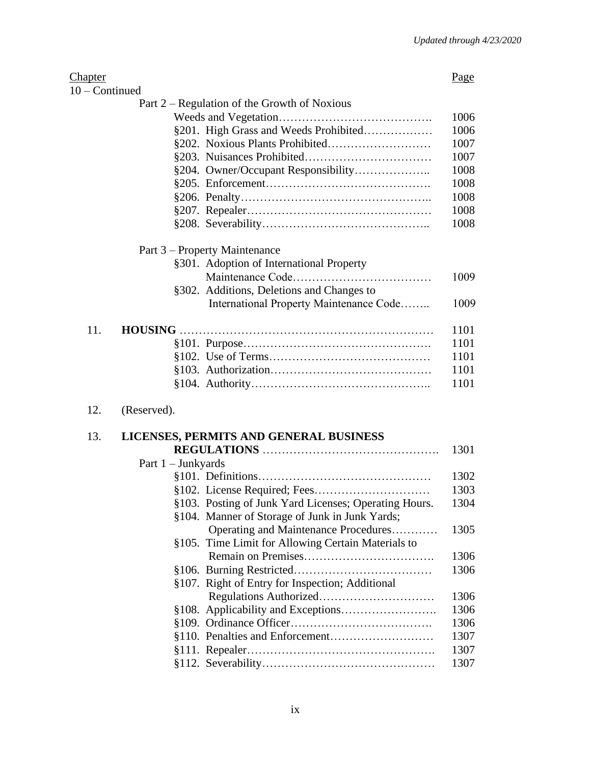| Chapter          |                    |                                                       | Page |
|------------------|--------------------|-------------------------------------------------------|------|
| $10$ – Continued |                    |                                                       |      |
|                  |                    | Part $2$ – Regulation of the Growth of Noxious        |      |
|                  |                    |                                                       | 1006 |
|                  |                    | §201. High Grass and Weeds Prohibited                 | 1006 |
|                  |                    |                                                       | 1007 |
|                  |                    |                                                       | 1007 |
|                  |                    |                                                       | 1008 |
|                  |                    |                                                       | 1008 |
|                  |                    |                                                       | 1008 |
|                  |                    |                                                       | 1008 |
|                  |                    |                                                       | 1008 |
|                  |                    | Part 3 – Property Maintenance                         |      |
|                  |                    | §301. Adoption of International Property              |      |
|                  |                    |                                                       | 1009 |
|                  |                    | §302. Additions, Deletions and Changes to             |      |
|                  |                    | International Property Maintenance Code               | 1009 |
| 11.              |                    |                                                       | 1101 |
|                  |                    |                                                       | 1101 |
|                  |                    |                                                       | 1101 |
|                  |                    |                                                       | 1101 |
|                  |                    |                                                       | 1101 |
| 12.              | (Reserved).        |                                                       |      |
| 13.              |                    | LICENSES, PERMITS AND GENERAL BUSINESS                |      |
|                  |                    |                                                       | 1301 |
|                  | Part 1 - Junkyards |                                                       |      |
|                  |                    |                                                       | 1302 |
|                  |                    |                                                       | 1303 |
|                  |                    | §103. Posting of Junk Yard Licenses; Operating Hours. | 1304 |
|                  |                    | §104. Manner of Storage of Junk in Junk Yards;        |      |
|                  |                    | Operating and Maintenance Procedures                  | 1305 |
|                  |                    | §105. Time Limit for Allowing Certain Materials to    |      |
|                  |                    |                                                       | 1306 |
|                  |                    |                                                       | 1306 |
|                  |                    | §107. Right of Entry for Inspection; Additional       |      |
|                  |                    |                                                       | 1306 |
|                  |                    |                                                       | 1306 |
|                  |                    |                                                       | 1306 |
|                  |                    |                                                       | 1307 |
|                  |                    |                                                       | 1307 |
|                  |                    |                                                       | 1307 |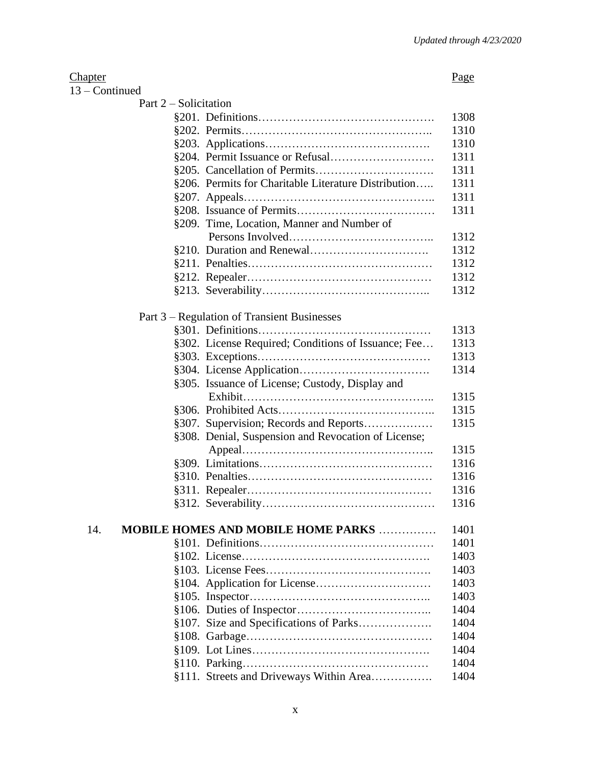### Chapter **Page**

| Continued |  |
|-----------|--|
|-----------|--|

| Part $2$ – Solicitation |                                                      |      |
|-------------------------|------------------------------------------------------|------|
|                         |                                                      | 1308 |
|                         |                                                      | 1310 |
|                         |                                                      | 1310 |
|                         |                                                      | 1311 |
|                         |                                                      | 1311 |
|                         | §206. Permits for Charitable Literature Distribution | 1311 |
|                         |                                                      | 1311 |
|                         |                                                      | 1311 |
|                         | §209. Time, Location, Manner and Number of           |      |
|                         |                                                      | 1312 |
|                         |                                                      | 1312 |
|                         |                                                      | 1312 |
|                         |                                                      | 1312 |
|                         |                                                      | 1312 |
|                         |                                                      |      |
|                         | Part 3 – Regulation of Transient Businesses          |      |
|                         |                                                      | 1313 |
|                         | §302. License Required; Conditions of Issuance; Fee  | 1313 |
|                         |                                                      | 1313 |
|                         |                                                      | 1314 |
|                         | §305. Issuance of License; Custody, Display and      |      |
|                         |                                                      | 1315 |
|                         |                                                      | 1315 |
|                         |                                                      | 1315 |
|                         | §308. Denial, Suspension and Revocation of License;  |      |
|                         |                                                      | 1315 |
|                         |                                                      | 1316 |
|                         |                                                      | 1316 |
|                         |                                                      | 1316 |
|                         |                                                      | 1316 |
|                         |                                                      |      |
| 14.                     | <b>MOBILE HOMES AND MOBILE HOME PARKS </b>           | 1401 |
|                         |                                                      | 1401 |
|                         |                                                      | 1403 |
|                         |                                                      | 1403 |
|                         |                                                      | 1403 |
|                         |                                                      | 1403 |
|                         |                                                      | 1404 |
|                         | §107. Size and Specifications of Parks               | 1404 |
|                         |                                                      | 1404 |
|                         |                                                      | 1404 |
|                         |                                                      | 1404 |
|                         | §111. Streets and Driveways Within Area              | 1404 |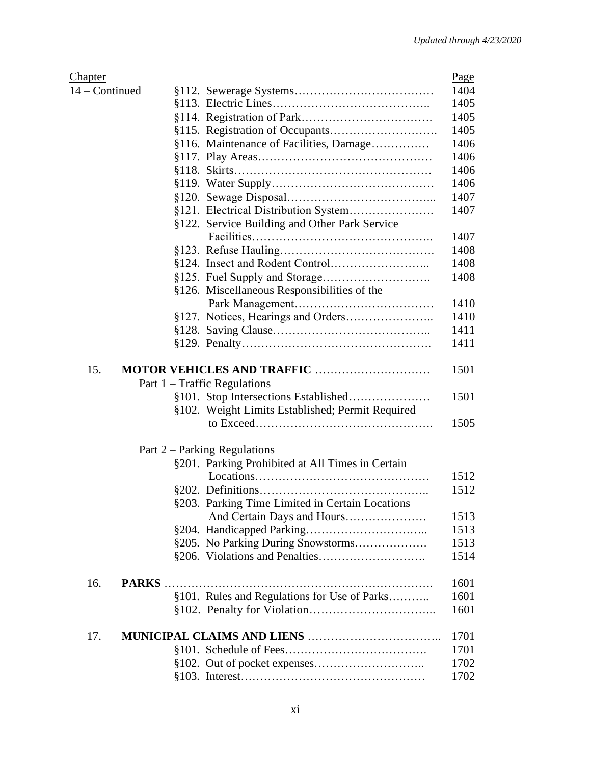| <b>Chapter</b> |                                                  | Page |
|----------------|--------------------------------------------------|------|
| 14 - Continued |                                                  | 1404 |
|                |                                                  | 1405 |
|                |                                                  | 1405 |
|                |                                                  | 1405 |
|                | §116. Maintenance of Facilities, Damage          | 1406 |
|                |                                                  | 1406 |
|                |                                                  | 1406 |
|                |                                                  | 1406 |
|                |                                                  | 1407 |
|                | §121. Electrical Distribution System             | 1407 |
|                | §122. Service Building and Other Park Service    |      |
|                |                                                  | 1407 |
|                |                                                  | 1408 |
|                |                                                  | 1408 |
|                |                                                  | 1408 |
|                |                                                  |      |
|                | §126. Miscellaneous Responsibilities of the      |      |
|                |                                                  | 1410 |
|                |                                                  | 1410 |
|                |                                                  | 1411 |
|                |                                                  | 1411 |
| 15.            | <b>MOTOR VEHICLES AND TRAFFIC </b>               | 1501 |
|                | Part $1 - \text{Traffic}$ Regulations            |      |
|                |                                                  | 1501 |
|                | §102. Weight Limits Established; Permit Required |      |
|                |                                                  | 1505 |
|                |                                                  |      |
|                | Part $2$ – Parking Regulations                   |      |
|                | §201. Parking Prohibited at All Times in Certain |      |
|                |                                                  | 1512 |
|                |                                                  | 1512 |
|                | §203. Parking Time Limited in Certain Locations  |      |
|                | And Certain Days and Hours                       | 1513 |
|                |                                                  | 1513 |
|                | §205. No Parking During Snowstorms               | 1513 |
|                |                                                  | 1514 |
| 16.            |                                                  | 1601 |
|                |                                                  | 1601 |
|                | §101. Rules and Regulations for Use of Parks     |      |
|                |                                                  | 1601 |
| 17.            |                                                  | 1701 |
|                |                                                  | 1701 |
|                |                                                  | 1702 |
|                |                                                  | 1702 |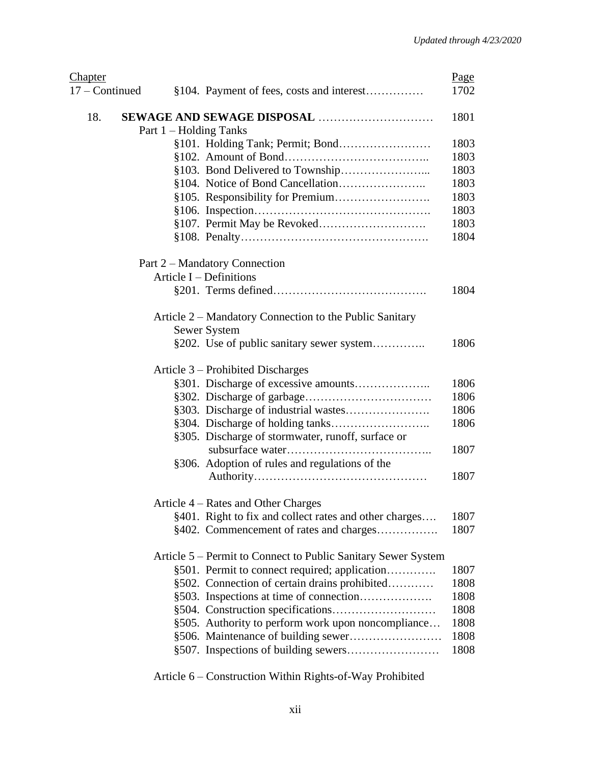| <b>Chapter</b> |                                                               | Page |
|----------------|---------------------------------------------------------------|------|
| 17 - Continued | §104. Payment of fees, costs and interest                     | 1702 |
| 18.            |                                                               | 1801 |
|                | Part 1 – Holding Tanks                                        |      |
|                |                                                               | 1803 |
|                |                                                               | 1803 |
|                |                                                               | 1803 |
|                |                                                               | 1803 |
|                |                                                               | 1803 |
|                |                                                               | 1803 |
|                |                                                               | 1803 |
|                |                                                               | 1804 |
|                | Part 2 – Mandatory Connection                                 |      |
|                | Article $I$ – Definitions                                     |      |
|                |                                                               | 1804 |
|                | Article 2 – Mandatory Connection to the Public Sanitary       |      |
|                | Sewer System                                                  |      |
|                | §202. Use of public sanitary sewer system                     | 1806 |
|                | Article 3 – Prohibited Discharges                             |      |
|                |                                                               | 1806 |
|                |                                                               | 1806 |
|                | §303. Discharge of industrial wastes                          | 1806 |
|                |                                                               | 1806 |
|                | §305. Discharge of stormwater, runoff, surface or             | 1807 |
|                |                                                               |      |
|                | §306. Adoption of rules and regulations of the                | 1807 |
|                | Article 4 - Rates and Other Charges                           |      |
|                | §401. Right to fix and collect rates and other charges        | 1807 |
|                |                                                               | 1807 |
|                | §402. Commencement of rates and charges                       |      |
|                | Article 5 – Permit to Connect to Public Sanitary Sewer System |      |
|                | §501. Permit to connect required; application                 | 1807 |
|                | §502. Connection of certain drains prohibited                 | 1808 |
|                |                                                               | 1808 |
|                |                                                               | 1808 |
|                | §505. Authority to perform work upon noncompliance            | 1808 |
|                | §506. Maintenance of building sewer                           | 1808 |
|                |                                                               | 1808 |
|                |                                                               |      |

Article 6 – Construction Within Rights-of-Way Prohibited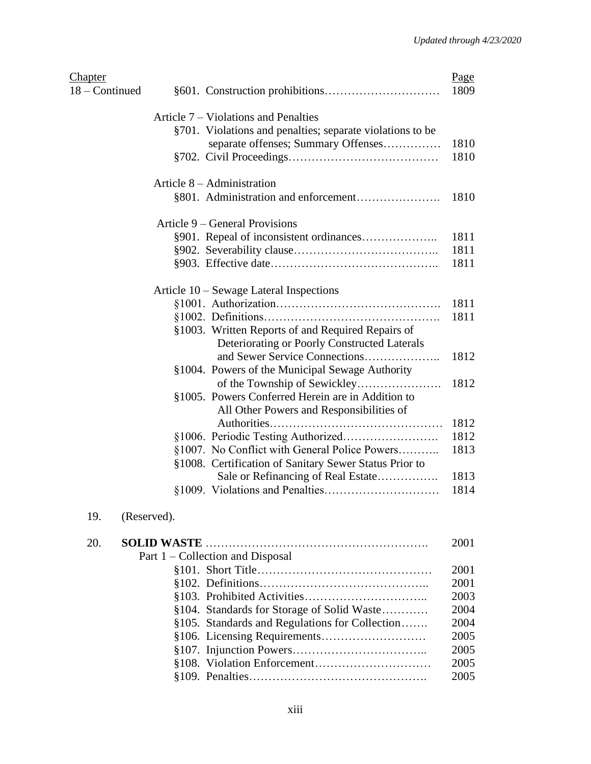| Chapter<br>18 – Continued |                                                                                                   | Page<br>1809 |
|---------------------------|---------------------------------------------------------------------------------------------------|--------------|
|                           | Article 7 – Violations and Penalties                                                              |              |
|                           | §701. Violations and penalties; separate violations to be                                         |              |
|                           | separate offenses; Summary Offenses                                                               | 1810         |
|                           |                                                                                                   | 1810         |
|                           | Article $8 -$ Administration                                                                      |              |
|                           | §801. Administration and enforcement                                                              | 1810         |
|                           | Article 9 – General Provisions                                                                    |              |
|                           |                                                                                                   | 1811         |
|                           |                                                                                                   | 1811         |
|                           |                                                                                                   | 1811         |
|                           | Article 10 - Sewage Lateral Inspections                                                           |              |
|                           |                                                                                                   | 1811         |
|                           |                                                                                                   | 1811         |
|                           | §1003. Written Reports of and Required Repairs of<br>Deteriorating or Poorly Constructed Laterals |              |
|                           |                                                                                                   | 1812         |
|                           | §1004. Powers of the Municipal Sewage Authority                                                   |              |
|                           |                                                                                                   | 1812         |
|                           | §1005. Powers Conferred Herein are in Addition to<br>All Other Powers and Responsibilities of     |              |
|                           |                                                                                                   | 1812         |
|                           |                                                                                                   | 1812         |
|                           | §1007. No Conflict with General Police Powers                                                     | 1813         |
|                           | §1008. Certification of Sanitary Sewer Status Prior to                                            |              |
|                           | Sale or Refinancing of Real Estate                                                                | 1813         |
|                           |                                                                                                   | 1814         |
| 19.                       | (Reserved).                                                                                       |              |

| 20. |                                                | 2001 |
|-----|------------------------------------------------|------|
|     | Part 1 – Collection and Disposal               |      |
|     |                                                | 2001 |
|     |                                                | 2001 |
|     |                                                | 2003 |
|     | §104. Standards for Storage of Solid Waste     | 2004 |
|     | §105. Standards and Regulations for Collection | 2004 |
|     |                                                | 2005 |
|     |                                                | 2005 |
|     |                                                | 2005 |
|     |                                                | 2005 |
|     |                                                |      |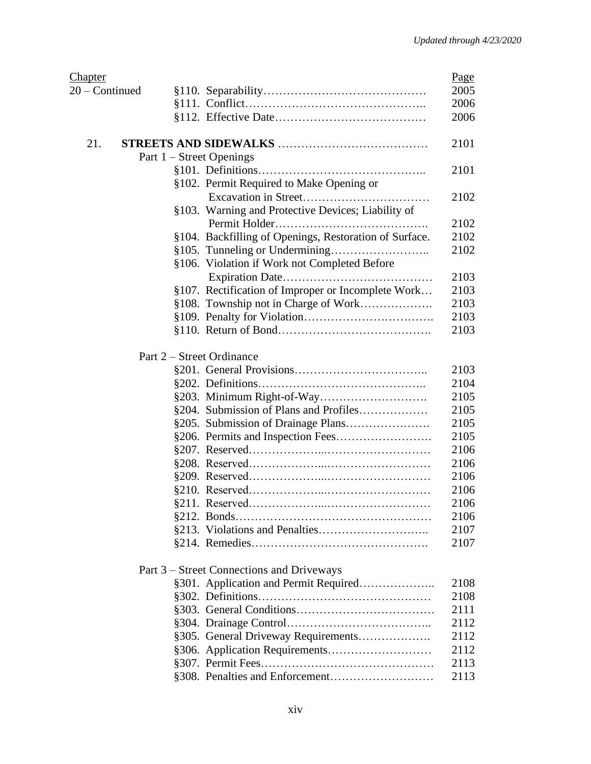| <b>Chapter</b> |                                                        | Page |
|----------------|--------------------------------------------------------|------|
| 20 – Continued |                                                        | 2005 |
|                |                                                        | 2006 |
|                |                                                        | 2006 |
| 21.            |                                                        | 2101 |
|                | Part $1$ – Street Openings                             |      |
|                |                                                        | 2101 |
|                | §102. Permit Required to Make Opening or               |      |
|                |                                                        | 2102 |
|                | §103. Warning and Protective Devices; Liability of     |      |
|                |                                                        | 2102 |
|                | §104. Backfilling of Openings, Restoration of Surface. | 2102 |
|                |                                                        | 2102 |
|                | §106. Violation if Work not Completed Before           |      |
|                |                                                        | 2103 |
|                | §107. Rectification of Improper or Incomplete Work     | 2103 |
|                |                                                        | 2103 |
|                |                                                        | 2103 |
|                |                                                        | 2103 |
|                | Part 2 – Street Ordinance                              |      |
|                |                                                        | 2103 |
|                |                                                        | 2104 |
|                |                                                        | 2105 |
|                | §204. Submission of Plans and Profiles                 | 2105 |
|                |                                                        | 2105 |
|                |                                                        | 2105 |
|                |                                                        | 2106 |
|                |                                                        | 2106 |
|                |                                                        | 2106 |
|                |                                                        | 2106 |
|                | §211. Reserved.                                        | 2106 |
|                |                                                        | 2106 |
|                |                                                        | 2107 |
|                |                                                        | 2107 |
|                | Part 3 – Street Connections and Driveways              |      |
|                |                                                        | 2108 |
|                |                                                        | 2108 |
|                |                                                        | 2111 |
|                |                                                        | 2112 |
|                | §305. General Driveway Requirements                    | 2112 |
|                |                                                        | 2112 |
|                |                                                        | 2113 |
|                |                                                        | 2113 |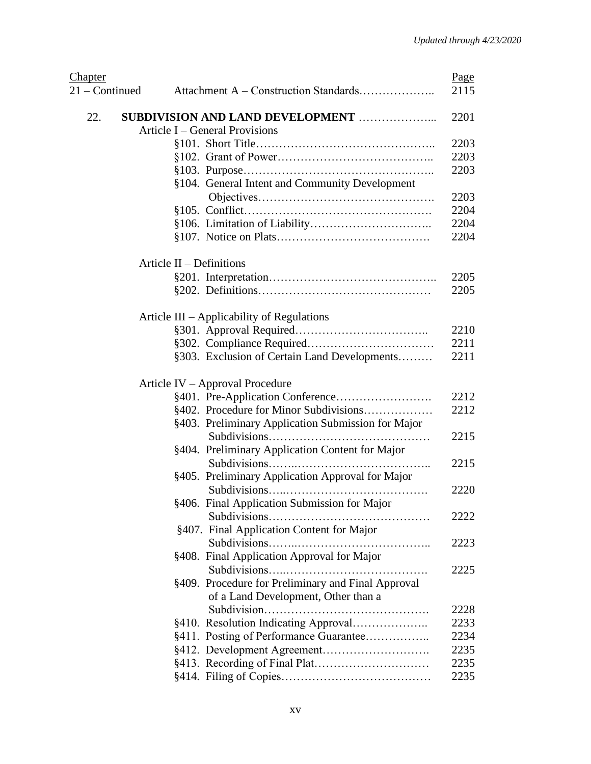| <b>Chapter</b>   |                                                    | Page |
|------------------|----------------------------------------------------|------|
| $21 -$ Continued |                                                    | 2115 |
| 22.              | SUBDIVISION AND LAND DEVELOPMENT                   | 2201 |
|                  | Article I – General Provisions                     |      |
|                  |                                                    | 2203 |
|                  |                                                    | 2203 |
|                  |                                                    | 2203 |
|                  | §104. General Intent and Community Development     |      |
|                  |                                                    | 2203 |
|                  |                                                    | 2204 |
|                  |                                                    | 2204 |
|                  |                                                    | 2204 |
|                  | Article $II$ – Definitions                         |      |
|                  |                                                    | 2205 |
|                  |                                                    | 2205 |
|                  | Article III – Applicability of Regulations         |      |
|                  |                                                    | 2210 |
|                  |                                                    | 2211 |
|                  | §303. Exclusion of Certain Land Developments       | 2211 |
|                  |                                                    |      |
|                  | Article IV - Approval Procedure                    |      |
|                  |                                                    | 2212 |
|                  | §402. Procedure for Minor Subdivisions             | 2212 |
|                  | §403. Preliminary Application Submission for Major |      |
|                  | .                                                  | 2215 |
|                  | §404. Preliminary Application Content for Major    |      |
|                  |                                                    | 2215 |
|                  | §405. Preliminary Application Approval for Major   |      |
|                  |                                                    | 2220 |
|                  | §406. Final Application Submission for Major       |      |
|                  |                                                    | 2222 |
|                  | §407. Final Application Content for Major          |      |
|                  |                                                    | 2223 |
|                  | §408. Final Application Approval for Major         |      |
|                  |                                                    | 2225 |
|                  | §409. Procedure for Preliminary and Final Approval |      |
|                  | of a Land Development, Other than a                |      |
|                  |                                                    | 2228 |
|                  | §410. Resolution Indicating Approval               | 2233 |
|                  | §411. Posting of Performance Guarantee             | 2234 |
|                  |                                                    | 2235 |
|                  |                                                    | 2235 |
|                  |                                                    | 2235 |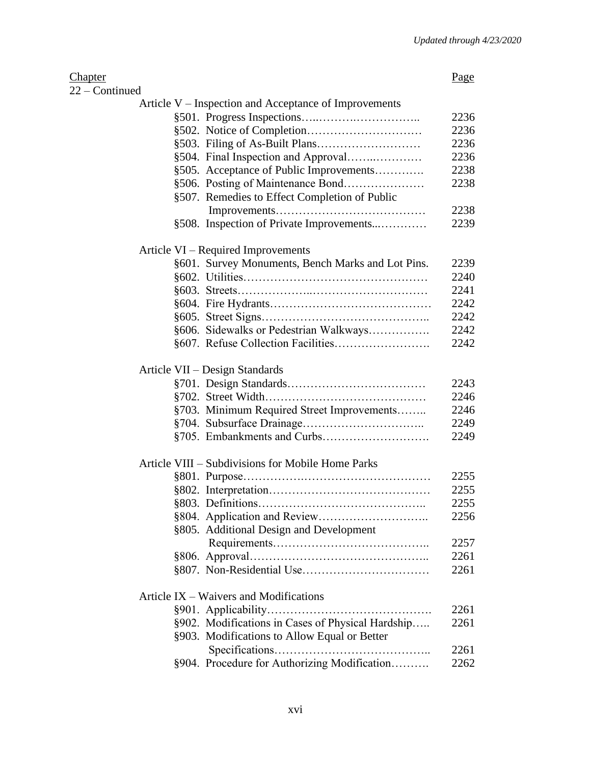| 22 – Continued                                        |      |
|-------------------------------------------------------|------|
| Article V – Inspection and Acceptance of Improvements |      |
|                                                       | 2236 |
|                                                       | 2236 |
|                                                       | 2236 |
| §504. Final Inspection and Approval                   | 2236 |
| §505. Acceptance of Public Improvements               | 2238 |
| §506. Posting of Maintenance Bond                     | 2238 |
| §507. Remedies to Effect Completion of Public         |      |
|                                                       | 2238 |
| §508. Inspection of Private Improvements              | 2239 |
| Article VI – Required Improvements                    |      |
| §601. Survey Monuments, Bench Marks and Lot Pins.     | 2239 |
|                                                       | 2240 |
|                                                       | 2241 |
|                                                       | 2242 |
|                                                       | 2242 |
| §606. Sidewalks or Pedestrian Walkways                | 2242 |
|                                                       | 2242 |
| Article VII - Design Standards                        |      |
|                                                       | 2243 |
|                                                       | 2246 |
| §703. Minimum Required Street Improvements            | 2246 |
|                                                       | 2249 |
|                                                       | 2249 |
| Article VIII – Subdivisions for Mobile Home Parks     |      |
|                                                       | 2255 |
|                                                       | 2255 |
|                                                       | 2255 |
|                                                       | 2256 |
| §805. Additional Design and Development               |      |
|                                                       | 2257 |
|                                                       | 2261 |
|                                                       | 2261 |
| Article IX – Waivers and Modifications                |      |
|                                                       | 2261 |
| §902. Modifications in Cases of Physical Hardship     | 2261 |
| §903. Modifications to Allow Equal or Better          |      |
|                                                       | 2261 |
| §904. Procedure for Authorizing Modification          | 2262 |
|                                                       |      |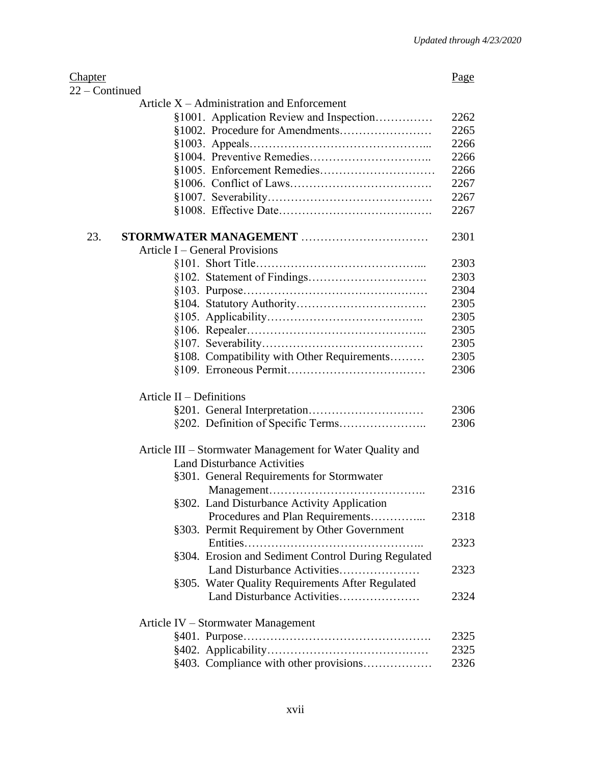| <b>Chapter</b>                                            | Page |  |
|-----------------------------------------------------------|------|--|
| $22$ – Continued                                          |      |  |
| Article $X -$ Administration and Enforcement              |      |  |
| §1001. Application Review and Inspection                  | 2262 |  |
|                                                           | 2265 |  |
|                                                           | 2266 |  |
|                                                           | 2266 |  |
|                                                           | 2266 |  |
|                                                           | 2267 |  |
|                                                           | 2267 |  |
|                                                           | 2267 |  |
| 23.<br>STORMWATER MANAGEMENT                              | 2301 |  |
| Article I – General Provisions                            |      |  |
|                                                           | 2303 |  |
|                                                           | 2303 |  |
|                                                           | 2304 |  |
|                                                           | 2305 |  |
|                                                           | 2305 |  |
|                                                           | 2305 |  |
|                                                           | 2305 |  |
| §108. Compatibility with Other Requirements               | 2305 |  |
|                                                           | 2306 |  |
|                                                           |      |  |
| Article $II$ – Definitions                                |      |  |
|                                                           | 2306 |  |
|                                                           | 2306 |  |
| Article III – Stormwater Management for Water Quality and |      |  |
| <b>Land Disturbance Activities</b>                        |      |  |
| §301. General Requirements for Stormwater                 |      |  |
|                                                           | 2316 |  |
| §302. Land Disturbance Activity Application               |      |  |
| Procedures and Plan Requirements                          | 2318 |  |
| §303. Permit Requirement by Other Government              |      |  |
|                                                           | 2323 |  |
| §304. Erosion and Sediment Control During Regulated       |      |  |
| Land Disturbance Activities                               | 2323 |  |
| §305. Water Quality Requirements After Regulated          |      |  |
| Land Disturbance Activities                               | 2324 |  |
| Article IV – Stormwater Management                        |      |  |
|                                                           | 2325 |  |
|                                                           | 2325 |  |
| §403. Compliance with other provisions                    | 2326 |  |
|                                                           |      |  |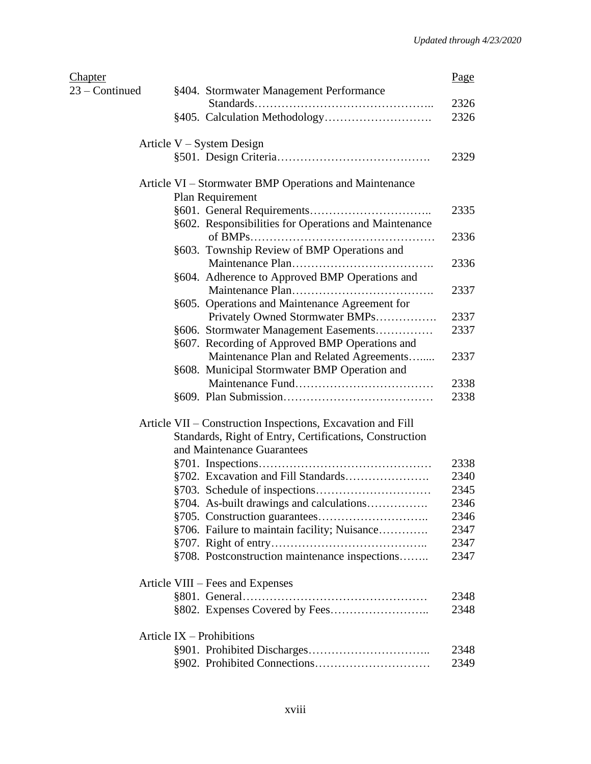| <b>Chapter</b> |                                                             | Page         |
|----------------|-------------------------------------------------------------|--------------|
| 23 – Continued | §404. Stormwater Management Performance                     |              |
|                |                                                             | 2326         |
|                |                                                             | 2326         |
|                | Article $V - System$ Design                                 |              |
|                |                                                             | 2329         |
|                | Article VI – Stormwater BMP Operations and Maintenance      |              |
|                | Plan Requirement                                            |              |
|                |                                                             | 2335         |
|                | §602. Responsibilities for Operations and Maintenance       | 2336         |
|                | §603. Township Review of BMP Operations and                 |              |
|                |                                                             | 2336         |
|                | §604. Adherence to Approved BMP Operations and              |              |
|                |                                                             | 2337         |
|                | §605. Operations and Maintenance Agreement for              |              |
|                | Privately Owned Stormwater BMPs                             | 2337         |
|                | §606. Stormwater Management Easements                       | 2337         |
|                | §607. Recording of Approved BMP Operations and              |              |
|                | Maintenance Plan and Related Agreements                     | 2337         |
|                | §608. Municipal Stormwater BMP Operation and                |              |
|                |                                                             | 2338<br>2338 |
|                |                                                             |              |
|                | Article VII – Construction Inspections, Excavation and Fill |              |
|                | Standards, Right of Entry, Certifications, Construction     |              |
|                | and Maintenance Guarantees                                  |              |
|                | §702. Excavation and Fill Standards                         | 2338<br>2340 |
|                |                                                             | 2345         |
|                | §704. As-built drawings and calculations                    | 2346         |
|                |                                                             | 2346         |
|                | §706. Failure to maintain facility; Nuisance                | 2347         |
|                |                                                             | 2347         |
|                | §708. Postconstruction maintenance inspections              | 2347         |
|                |                                                             |              |
|                | Article VIII – Fees and Expenses                            |              |
|                |                                                             | 2348         |
|                |                                                             | 2348         |
|                | Article $IX -$ Prohibitions                                 |              |
|                |                                                             | 2348         |
|                |                                                             | 2349         |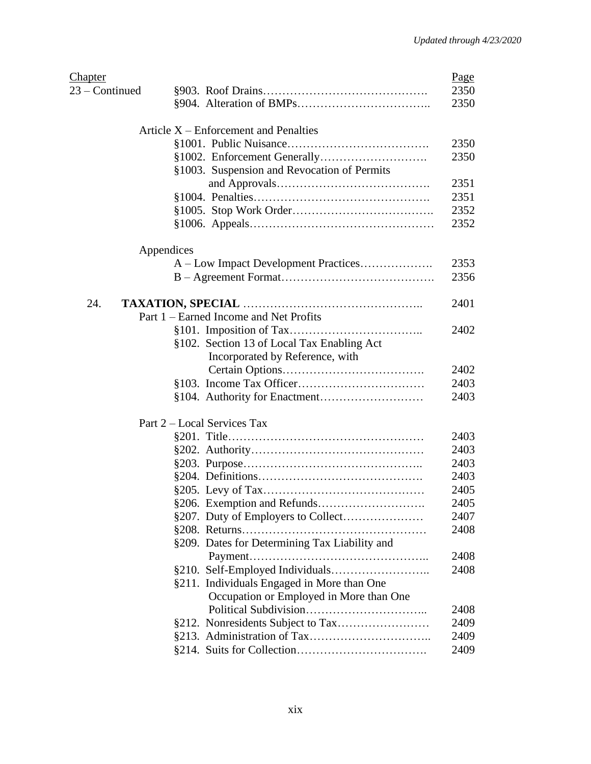| <b>Chapter</b> |                                               | Page |
|----------------|-----------------------------------------------|------|
| 23 – Continued |                                               | 2350 |
|                |                                               | 2350 |
|                | Article $X$ – Enforcement and Penalties       |      |
|                |                                               | 2350 |
|                |                                               | 2350 |
|                | §1003. Suspension and Revocation of Permits   |      |
|                |                                               | 2351 |
|                |                                               | 2351 |
|                |                                               | 2352 |
|                |                                               | 2352 |
| Appendices     |                                               |      |
|                | A – Low Impact Development Practices          | 2353 |
|                |                                               | 2356 |
|                |                                               |      |
| 24.            |                                               | 2401 |
|                | Part 1 – Earned Income and Net Profits        |      |
|                |                                               | 2402 |
|                | §102. Section 13 of Local Tax Enabling Act    |      |
|                | Incorporated by Reference, with               |      |
|                |                                               | 2402 |
|                |                                               | 2403 |
|                |                                               | 2403 |
|                | Part 2 – Local Services Tax                   |      |
|                |                                               | 2403 |
|                |                                               | 2403 |
|                |                                               | 2403 |
|                |                                               | 2403 |
|                |                                               | 2405 |
|                | §206. Exemption and Refunds                   | 2405 |
|                |                                               | 2407 |
|                |                                               | 2408 |
|                | §209. Dates for Determining Tax Liability and |      |
|                |                                               | 2408 |
|                |                                               | 2408 |
|                | §211. Individuals Engaged in More than One    |      |
|                | Occupation or Employed in More than One       |      |
|                |                                               | 2408 |
|                |                                               | 2409 |
|                |                                               | 2409 |
|                |                                               | 2409 |
|                |                                               |      |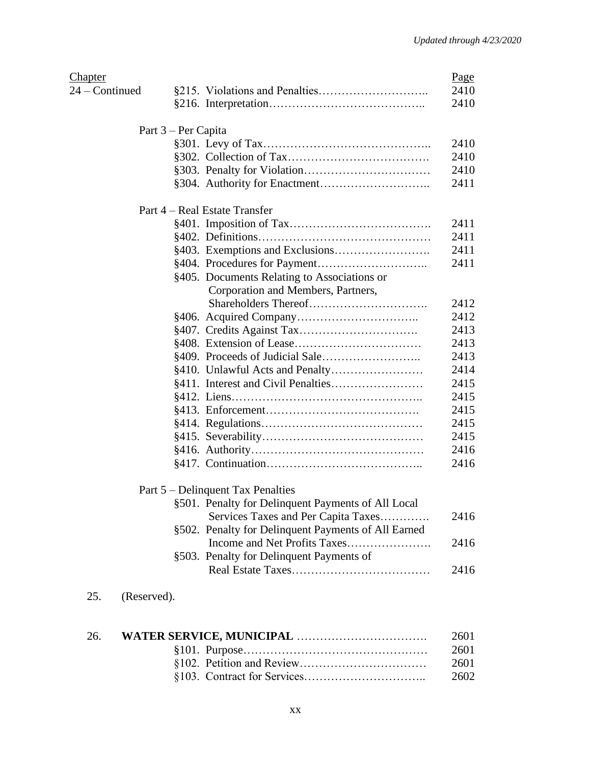| Chapter            |                                                     | Page |
|--------------------|-----------------------------------------------------|------|
| $24$ – Continued   |                                                     | 2410 |
|                    |                                                     | 2410 |
|                    | Part 3 – Per Capita                                 |      |
|                    |                                                     | 2410 |
|                    |                                                     | 2410 |
|                    |                                                     | 2410 |
|                    |                                                     | 2411 |
|                    | Part 4 – Real Estate Transfer                       |      |
|                    |                                                     | 2411 |
|                    |                                                     | 2411 |
|                    |                                                     | 2411 |
|                    |                                                     | 2411 |
|                    | §405. Documents Relating to Associations or         |      |
|                    | Corporation and Members, Partners,                  |      |
|                    |                                                     | 2412 |
|                    |                                                     | 2412 |
|                    |                                                     | 2413 |
|                    |                                                     | 2413 |
|                    |                                                     | 2413 |
|                    |                                                     | 2414 |
|                    |                                                     | 2415 |
|                    |                                                     | 2415 |
|                    |                                                     | 2415 |
|                    |                                                     | 2415 |
|                    |                                                     | 2415 |
|                    |                                                     | 2416 |
|                    |                                                     | 2416 |
|                    | Part 5 – Delinquent Tax Penalties                   |      |
|                    | §501. Penalty for Delinquent Payments of All Local  |      |
|                    | Services Taxes and Per Capita Taxes                 | 2416 |
|                    | §502. Penalty for Delinquent Payments of All Earned |      |
|                    |                                                     | 2416 |
|                    | §503. Penalty for Delinquent Payments of            |      |
|                    |                                                     | 2416 |
| 25.<br>(Reserved). |                                                     |      |

| 26. | 2601 |
|-----|------|
|     | 2601 |
|     | 2601 |
|     | 2602 |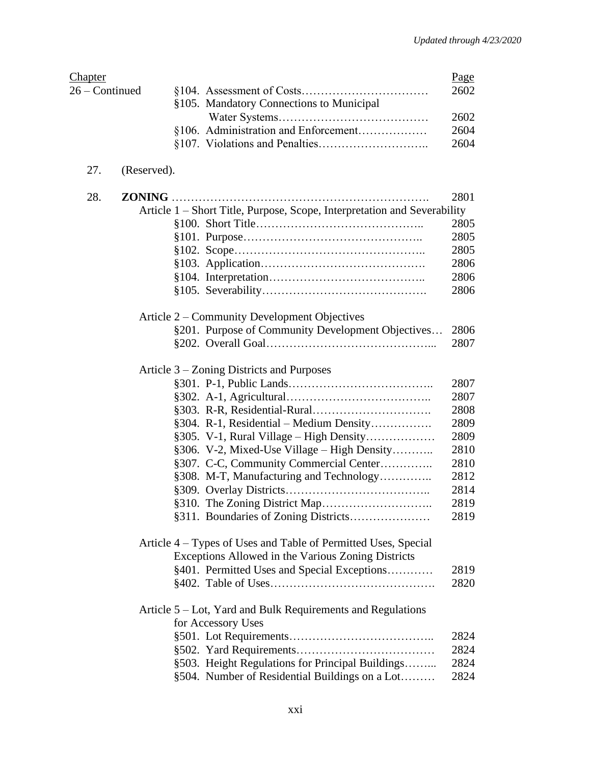| <b>Chapter</b> |             |                                                                          | Page |
|----------------|-------------|--------------------------------------------------------------------------|------|
| 26 – Continued |             |                                                                          | 2602 |
|                |             | §105. Mandatory Connections to Municipal                                 |      |
|                |             |                                                                          | 2602 |
|                |             | §106. Administration and Enforcement                                     | 2604 |
|                |             |                                                                          | 2604 |
| 27.            | (Reserved). |                                                                          |      |
| 28.            |             |                                                                          | 2801 |
|                |             | Article 1 – Short Title, Purpose, Scope, Interpretation and Severability |      |
|                |             |                                                                          | 2805 |
|                |             |                                                                          | 2805 |
|                |             |                                                                          | 2805 |
|                |             |                                                                          | 2806 |
|                |             |                                                                          | 2806 |
|                |             |                                                                          | 2806 |
|                |             | Article 2 – Community Development Objectives                             |      |
|                |             | §201. Purpose of Community Development Objectives                        | 2806 |
|                |             |                                                                          | 2807 |
|                |             | Article 3 – Zoning Districts and Purposes                                |      |
|                |             |                                                                          | 2807 |
|                |             |                                                                          | 2807 |
|                |             |                                                                          | 2808 |
|                |             | §304. R-1, Residential - Medium Density                                  | 2809 |
|                |             | $§305.$ V-1, Rural Village – High Density                                | 2809 |
|                |             | §306. V-2, Mixed-Use Village - High Density                              | 2810 |
|                |             | §307. C-C, Community Commercial Center                                   | 2810 |
|                |             | §308. M-T, Manufacturing and Technology                                  | 2812 |
|                |             |                                                                          | 2814 |
|                |             | §310. The Zoning District Map                                            | 2819 |
|                |             |                                                                          | 2819 |
|                |             | Article 4 – Types of Uses and Table of Permitted Uses, Special           |      |
|                |             | Exceptions Allowed in the Various Zoning Districts                       |      |
|                |             | §401. Permitted Uses and Special Exceptions                              | 2819 |
|                |             |                                                                          | 2820 |
|                |             | Article 5 – Lot, Yard and Bulk Requirements and Regulations              |      |
|                |             | for Accessory Uses                                                       |      |
|                |             |                                                                          | 2824 |
|                |             |                                                                          | 2824 |
|                |             | §503. Height Regulations for Principal Buildings                         | 2824 |
|                |             | §504. Number of Residential Buildings on a Lot                           | 2824 |
|                |             |                                                                          |      |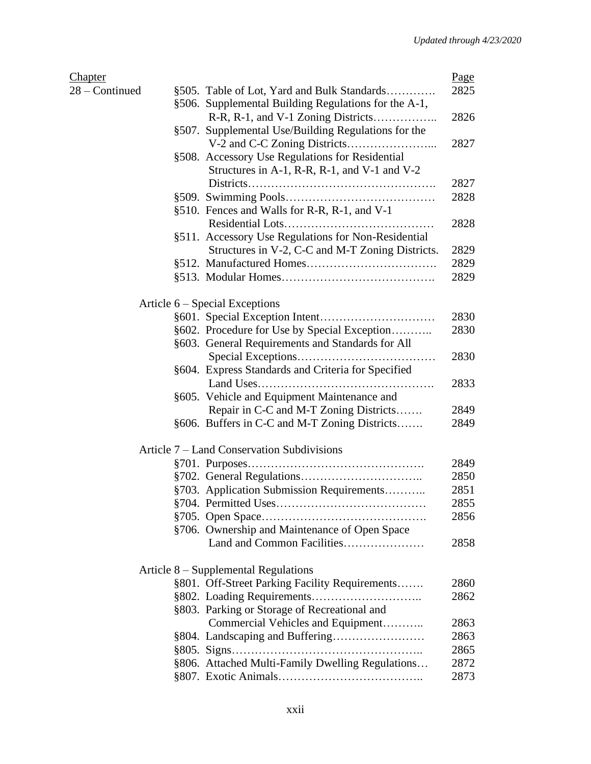| <b>Chapter</b> |                                                      | Page |
|----------------|------------------------------------------------------|------|
| 28 – Continued | §505. Table of Lot, Yard and Bulk Standards          | 2825 |
|                | §506. Supplemental Building Regulations for the A-1, |      |
|                | R-R, R-1, and V-1 Zoning Districts                   | 2826 |
|                | §507. Supplemental Use/Building Regulations for the  |      |
|                |                                                      | 2827 |
|                | §508. Accessory Use Regulations for Residential      |      |
|                | Structures in A-1, R-R, R-1, and V-1 and V-2         |      |
|                |                                                      | 2827 |
|                |                                                      | 2828 |
|                | §510. Fences and Walls for R-R, R-1, and V-1         |      |
|                |                                                      | 2828 |
|                | §511. Accessory Use Regulations for Non-Residential  |      |
|                | Structures in V-2, C-C and M-T Zoning Districts.     | 2829 |
|                |                                                      | 2829 |
|                |                                                      | 2829 |
|                |                                                      |      |
|                | Article 6 – Special Exceptions                       |      |
|                |                                                      | 2830 |
|                | §602. Procedure for Use by Special Exception         | 2830 |
|                | §603. General Requirements and Standards for All     |      |
|                |                                                      | 2830 |
|                | §604. Express Standards and Criteria for Specified   |      |
|                |                                                      | 2833 |
|                | §605. Vehicle and Equipment Maintenance and          |      |
|                | Repair in C-C and M-T Zoning Districts               | 2849 |
|                | §606. Buffers in C-C and M-T Zoning Districts        | 2849 |
|                |                                                      |      |
|                | Article 7 – Land Conservation Subdivisions           |      |
|                |                                                      | 2849 |
|                |                                                      | 2850 |
|                | §703. Application Submission Requirements            | 2851 |
|                |                                                      | 2855 |
|                |                                                      | 2856 |
|                | §706. Ownership and Maintenance of Open Space        |      |
|                |                                                      | 2858 |
|                |                                                      |      |
|                | Article 8 – Supplemental Regulations                 |      |
|                | §801. Off-Street Parking Facility Requirements       | 2860 |
|                |                                                      | 2862 |
|                | §803. Parking or Storage of Recreational and         |      |
|                | Commercial Vehicles and Equipment                    | 2863 |
|                |                                                      | 2863 |
|                |                                                      | 2865 |
|                | §806. Attached Multi-Family Dwelling Regulations     | 2872 |
|                |                                                      | 2873 |
|                |                                                      |      |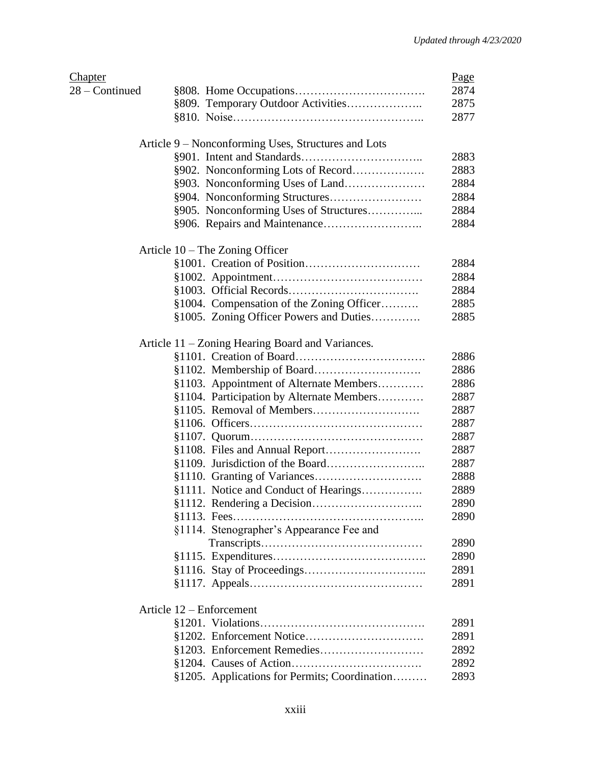| <b>Chapter</b> |                                                     | Page |
|----------------|-----------------------------------------------------|------|
| 28 - Continued |                                                     | 2874 |
|                | §809. Temporary Outdoor Activities                  | 2875 |
|                |                                                     | 2877 |
|                | Article 9 – Nonconforming Uses, Structures and Lots |      |
|                |                                                     | 2883 |
|                | §902. Nonconforming Lots of Record                  | 2883 |
|                |                                                     | 2884 |
|                |                                                     | 2884 |
|                | §905. Nonconforming Uses of Structures              | 2884 |
|                |                                                     | 2884 |
|                | Article 10 - The Zoning Officer                     |      |
|                |                                                     | 2884 |
|                |                                                     | 2884 |
|                |                                                     | 2884 |
|                | §1004. Compensation of the Zoning Officer           | 2885 |
|                | §1005. Zoning Officer Powers and Duties             | 2885 |
|                |                                                     |      |
|                | Article 11 – Zoning Hearing Board and Variances.    |      |
|                |                                                     | 2886 |
|                |                                                     | 2886 |
|                | §1103. Appointment of Alternate Members             | 2886 |
|                | §1104. Participation by Alternate Members           | 2887 |
|                |                                                     | 2887 |
|                |                                                     | 2887 |
|                |                                                     | 2887 |
|                |                                                     | 2887 |
|                |                                                     | 2887 |
|                |                                                     | 2888 |
|                | §1111. Notice and Conduct of Hearings               | 2889 |
|                |                                                     | 2890 |
|                |                                                     | 2890 |
|                | §1114. Stenographer's Appearance Fee and            |      |
|                |                                                     | 2890 |
|                |                                                     | 2890 |
|                |                                                     | 2891 |
|                |                                                     | 2891 |
|                | Article 12 – Enforcement                            |      |
|                |                                                     | 2891 |
|                |                                                     | 2891 |
|                |                                                     | 2892 |
|                |                                                     | 2892 |
|                | §1205. Applications for Permits; Coordination       | 2893 |
|                |                                                     |      |